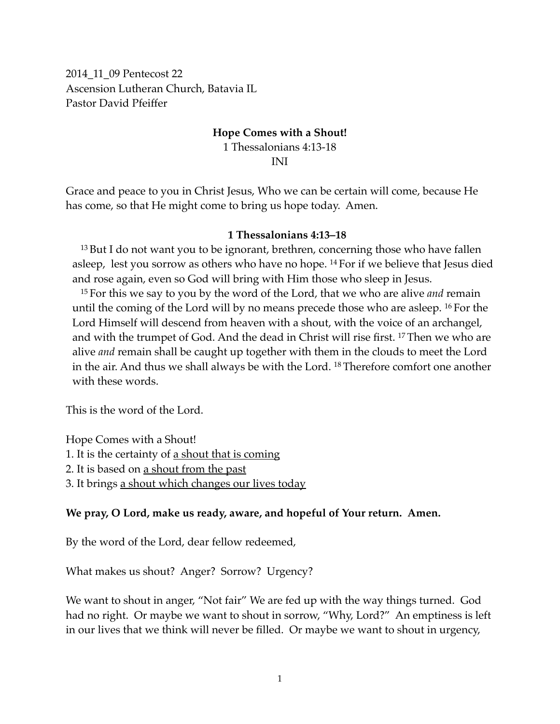2014\_11\_09 Pentecost 22 Ascension Lutheran Church, Batavia IL Pastor David Pfeiffer

# **Hope Comes with a Shout!** 1 Thessalonians 4:13-18

INI

Grace and peace to you in Christ Jesus, Who we can be certain will come, because He has come, so that He might come to bring us hope today. Amen.

#### **1 Thessalonians 4:13–18**

<sup>13</sup> But I do not want you to be ignorant, brethren, concerning those who have fallen asleep, lest you sorrow as others who have no hope. 14 For if we believe that Jesus died and rose again, even so God will bring with Him those who sleep in Jesus.

<sup>15</sup> For this we say to you by the word of the Lord, that we who are alive *and* remain until the coming of the Lord will by no means precede those who are asleep. 16 For the Lord Himself will descend from heaven with a shout, with the voice of an archangel, and with the trumpet of God. And the dead in Christ will rise first. 17 Then we who are alive *and* remain shall be caught up together with them in the clouds to meet the Lord in the air. And thus we shall always be with the Lord. 18 Therefore comfort one another with these words.

This is the word of the Lord.

Hope Comes with a Shout!

- 1. It is the certainty of <u>a shout that is coming</u>
- 2. It is based on a shout from the past
- 3. It brings <u>a shout which changes our lives today</u>

#### **We pray, O Lord, make us ready, aware, and hopeful of Your return. Amen.**

By the word of the Lord, dear fellow redeemed,

What makes us shout? Anger? Sorrow? Urgency?

We want to shout in anger, "Not fair" We are fed up with the way things turned. God had no right. Or maybe we want to shout in sorrow, "Why, Lord?" An emptiness is left in our lives that we think will never be filled. Or maybe we want to shout in urgency,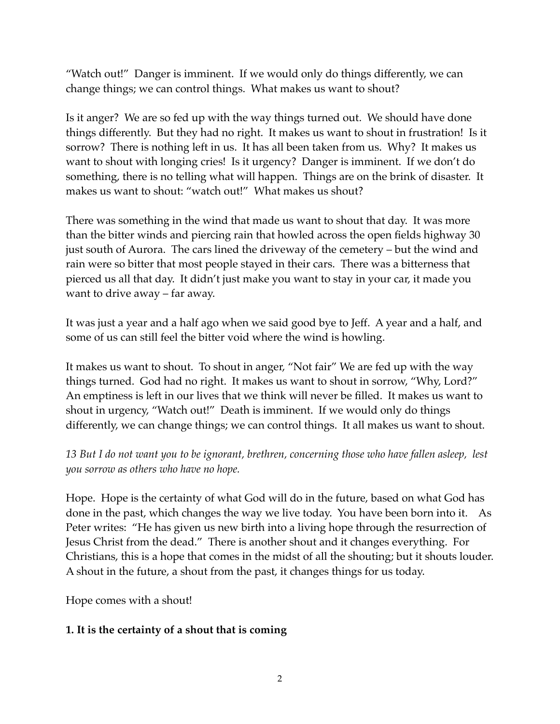"Watch out!" Danger is imminent. If we would only do things differently, we can change things; we can control things. What makes us want to shout?

Is it anger? We are so fed up with the way things turned out. We should have done things differently. But they had no right. It makes us want to shout in frustration! Is it sorrow? There is nothing left in us. It has all been taken from us. Why? It makes us want to shout with longing cries! Is it urgency? Danger is imminent. If we don't do something, there is no telling what will happen. Things are on the brink of disaster. It makes us want to shout: "watch out!" What makes us shout?

There was something in the wind that made us want to shout that day. It was more than the bitter winds and piercing rain that howled across the open fields highway 30 just south of Aurora. The cars lined the driveway of the cemetery – but the wind and rain were so bitter that most people stayed in their cars. There was a bitterness that pierced us all that day. It didn't just make you want to stay in your car, it made you want to drive away – far away.

It was just a year and a half ago when we said good bye to Jeff. A year and a half, and some of us can still feel the bitter void where the wind is howling.

It makes us want to shout. To shout in anger, "Not fair" We are fed up with the way things turned. God had no right. It makes us want to shout in sorrow, "Why, Lord?" An emptiness is left in our lives that we think will never be filled. It makes us want to shout in urgency, "Watch out!" Death is imminent. If we would only do things differently, we can change things; we can control things. It all makes us want to shout.

*13 But I do not want you to be ignorant, brethren, concerning those who have fallen asleep, lest you sorrow as others who have no hope.*

Hope. Hope is the certainty of what God will do in the future, based on what God has done in the past, which changes the way we live today. You have been born into it. As Peter writes: "He has given us new birth into a living hope through the resurrection of Jesus Christ from the dead." There is another shout and it changes everything. For Christians, this is a hope that comes in the midst of all the shouting; but it shouts louder. A shout in the future, a shout from the past, it changes things for us today.

Hope comes with a shout!

### **1. It is the certainty of a shout that is coming**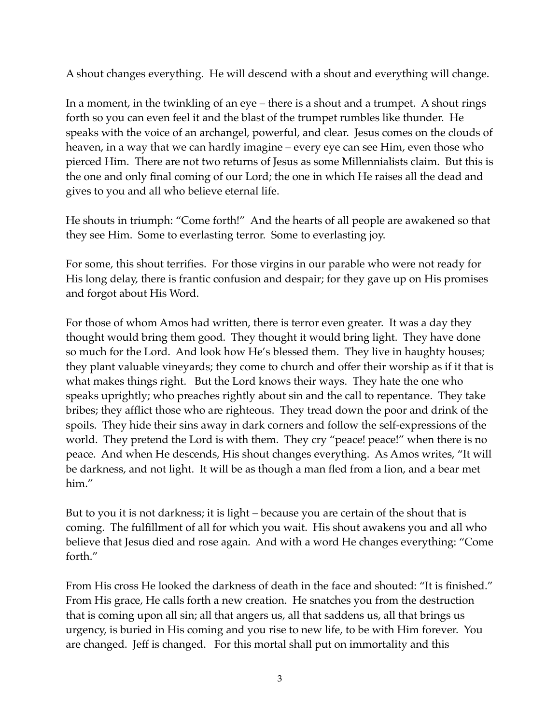A shout changes everything. He will descend with a shout and everything will change.

In a moment, in the twinkling of an eye – there is a shout and a trumpet. A shout rings forth so you can even feel it and the blast of the trumpet rumbles like thunder. He speaks with the voice of an archangel, powerful, and clear. Jesus comes on the clouds of heaven, in a way that we can hardly imagine – every eye can see Him, even those who pierced Him. There are not two returns of Jesus as some Millennialists claim. But this is the one and only final coming of our Lord; the one in which He raises all the dead and gives to you and all who believe eternal life.

He shouts in triumph: "Come forth!" And the hearts of all people are awakened so that they see Him. Some to everlasting terror. Some to everlasting joy.

For some, this shout terrifies. For those virgins in our parable who were not ready for His long delay, there is frantic confusion and despair; for they gave up on His promises and forgot about His Word.

For those of whom Amos had written, there is terror even greater. It was a day they thought would bring them good. They thought it would bring light. They have done so much for the Lord. And look how He's blessed them. They live in haughty houses; they plant valuable vineyards; they come to church and offer their worship as if it that is what makes things right. But the Lord knows their ways. They hate the one who speaks uprightly; who preaches rightly about sin and the call to repentance. They take bribes; they afflict those who are righteous. They tread down the poor and drink of the spoils. They hide their sins away in dark corners and follow the self-expressions of the world. They pretend the Lord is with them. They cry "peace! peace!" when there is no peace. And when He descends, His shout changes everything. As Amos writes, "It will be darkness, and not light. It will be as though a man fled from a lion, and a bear met him."

But to you it is not darkness; it is light – because you are certain of the shout that is coming. The fulfillment of all for which you wait. His shout awakens you and all who believe that Jesus died and rose again. And with a word He changes everything: "Come forth."

From His cross He looked the darkness of death in the face and shouted: "It is finished." From His grace, He calls forth a new creation. He snatches you from the destruction that is coming upon all sin; all that angers us, all that saddens us, all that brings us urgency, is buried in His coming and you rise to new life, to be with Him forever. You are changed. Jeff is changed. For this mortal shall put on immortality and this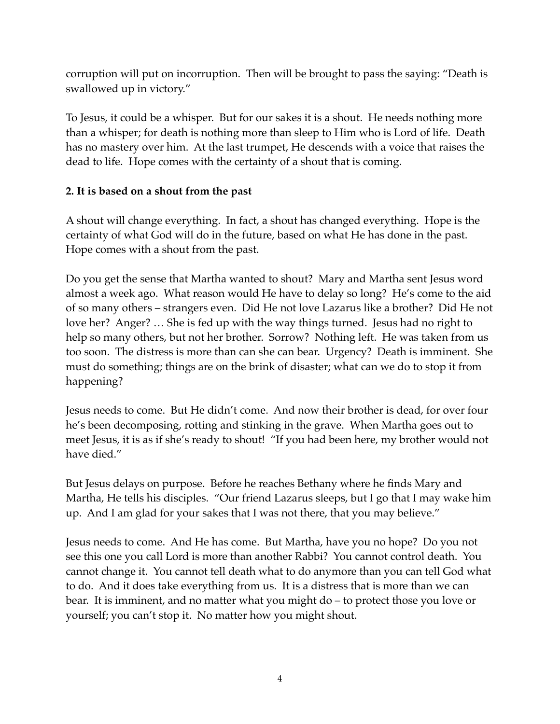corruption will put on incorruption. Then will be brought to pass the saying: "Death is swallowed up in victory."

To Jesus, it could be a whisper. But for our sakes it is a shout. He needs nothing more than a whisper; for death is nothing more than sleep to Him who is Lord of life. Death has no mastery over him. At the last trumpet, He descends with a voice that raises the dead to life. Hope comes with the certainty of a shout that is coming.

## **2. It is based on a shout from the past**

A shout will change everything. In fact, a shout has changed everything. Hope is the certainty of what God will do in the future, based on what He has done in the past. Hope comes with a shout from the past.

Do you get the sense that Martha wanted to shout? Mary and Martha sent Jesus word almost a week ago. What reason would He have to delay so long? He's come to the aid of so many others – strangers even. Did He not love Lazarus like a brother? Did He not love her? Anger? … She is fed up with the way things turned. Jesus had no right to help so many others, but not her brother. Sorrow? Nothing left. He was taken from us too soon. The distress is more than can she can bear. Urgency? Death is imminent. She must do something; things are on the brink of disaster; what can we do to stop it from happening?

Jesus needs to come. But He didn't come. And now their brother is dead, for over four he's been decomposing, rotting and stinking in the grave. When Martha goes out to meet Jesus, it is as if she's ready to shout! "If you had been here, my brother would not have died."

But Jesus delays on purpose. Before he reaches Bethany where he finds Mary and Martha, He tells his disciples. "Our friend Lazarus sleeps, but I go that I may wake him up. And I am glad for your sakes that I was not there, that you may believe."

Jesus needs to come. And He has come. But Martha, have you no hope? Do you not see this one you call Lord is more than another Rabbi? You cannot control death. You cannot change it. You cannot tell death what to do anymore than you can tell God what to do. And it does take everything from us. It is a distress that is more than we can bear. It is imminent, and no matter what you might do – to protect those you love or yourself; you can't stop it. No matter how you might shout.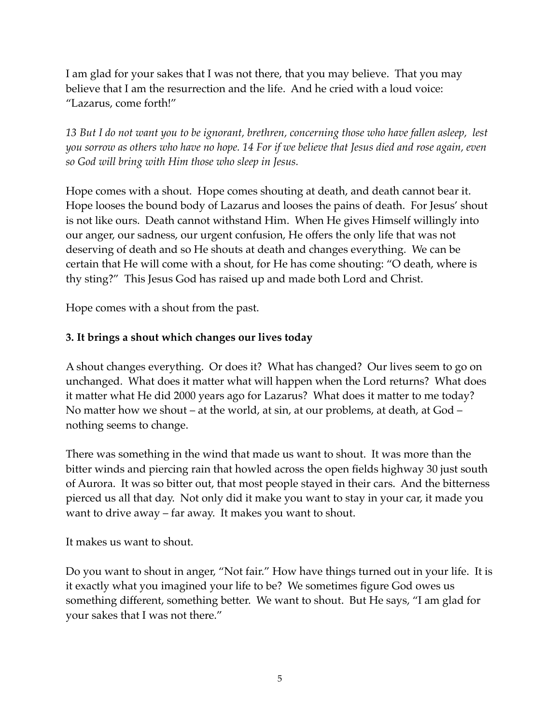I am glad for your sakes that I was not there, that you may believe. That you may believe that I am the resurrection and the life. And he cried with a loud voice: "Lazarus, come forth!"

*13 But I do not want you to be ignorant, brethren, concerning those who have fallen asleep, lest you sorrow as others who have no hope. 14 For if we believe that Jesus died and rose again, even so God will bring with Him those who sleep in Jesus.*

Hope comes with a shout. Hope comes shouting at death, and death cannot bear it. Hope looses the bound body of Lazarus and looses the pains of death. For Jesus' shout is not like ours. Death cannot withstand Him. When He gives Himself willingly into our anger, our sadness, our urgent confusion, He offers the only life that was not deserving of death and so He shouts at death and changes everything. We can be certain that He will come with a shout, for He has come shouting: "O death, where is thy sting?" This Jesus God has raised up and made both Lord and Christ.

Hope comes with a shout from the past.

## **3. It brings a shout which changes our lives today**

A shout changes everything. Or does it? What has changed? Our lives seem to go on unchanged. What does it matter what will happen when the Lord returns? What does it matter what He did 2000 years ago for Lazarus? What does it matter to me today? No matter how we shout – at the world, at sin, at our problems, at death, at God – nothing seems to change.

There was something in the wind that made us want to shout. It was more than the bitter winds and piercing rain that howled across the open fields highway 30 just south of Aurora. It was so bitter out, that most people stayed in their cars. And the bitterness pierced us all that day. Not only did it make you want to stay in your car, it made you want to drive away – far away. It makes you want to shout.

## It makes us want to shout.

Do you want to shout in anger, "Not fair." How have things turned out in your life. It is it exactly what you imagined your life to be? We sometimes figure God owes us something different, something better. We want to shout. But He says, "I am glad for your sakes that I was not there."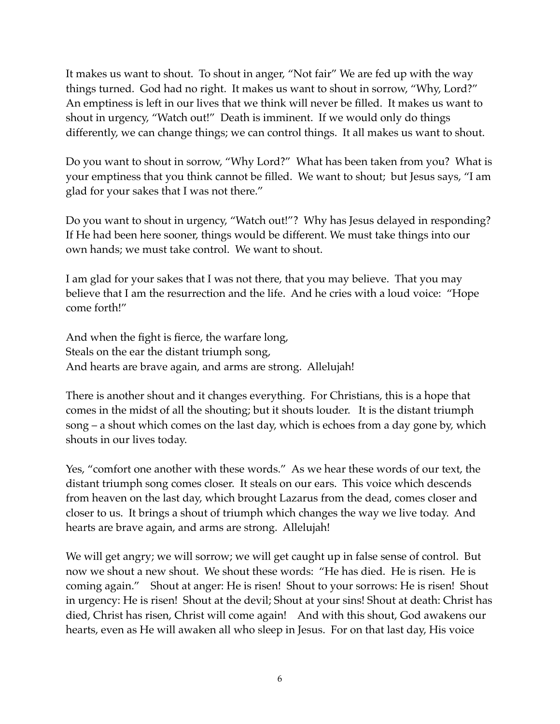It makes us want to shout. To shout in anger, "Not fair" We are fed up with the way things turned. God had no right. It makes us want to shout in sorrow, "Why, Lord?" An emptiness is left in our lives that we think will never be filled. It makes us want to shout in urgency, "Watch out!" Death is imminent. If we would only do things differently, we can change things; we can control things. It all makes us want to shout.

Do you want to shout in sorrow, "Why Lord?" What has been taken from you? What is your emptiness that you think cannot be filled. We want to shout; but Jesus says, "I am glad for your sakes that I was not there."

Do you want to shout in urgency, "Watch out!"? Why has Jesus delayed in responding? If He had been here sooner, things would be different. We must take things into our own hands; we must take control. We want to shout.

I am glad for your sakes that I was not there, that you may believe. That you may believe that I am the resurrection and the life. And he cries with a loud voice: "Hope come forth!"

And when the fight is fierce, the warfare long, Steals on the ear the distant triumph song, And hearts are brave again, and arms are strong. Allelujah!

There is another shout and it changes everything. For Christians, this is a hope that comes in the midst of all the shouting; but it shouts louder. It is the distant triumph song – a shout which comes on the last day, which is echoes from a day gone by, which shouts in our lives today.

Yes, "comfort one another with these words." As we hear these words of our text, the distant triumph song comes closer. It steals on our ears. This voice which descends from heaven on the last day, which brought Lazarus from the dead, comes closer and closer to us. It brings a shout of triumph which changes the way we live today. And hearts are brave again, and arms are strong. Allelujah!

We will get angry; we will sorrow; we will get caught up in false sense of control. But now we shout a new shout. We shout these words: "He has died. He is risen. He is coming again." Shout at anger: He is risen! Shout to your sorrows: He is risen! Shout in urgency: He is risen! Shout at the devil; Shout at your sins! Shout at death: Christ has died, Christ has risen, Christ will come again! And with this shout, God awakens our hearts, even as He will awaken all who sleep in Jesus. For on that last day, His voice